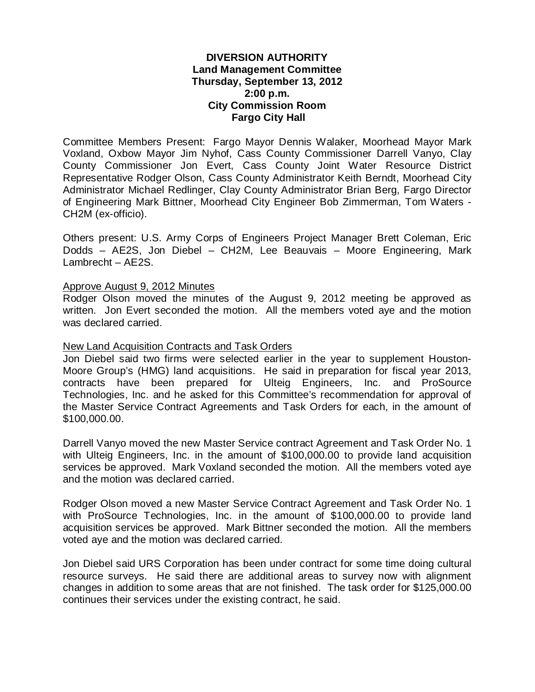# **DIVERSION AUTHORITY Land Management Committee Thursday, September 13, 2012 2:00 p.m. City Commission Room Fargo City Hall**

Committee Members Present: Fargo Mayor Dennis Walaker, Moorhead Mayor Mark Voxland, Oxbow Mayor Jim Nyhof, Cass County Commissioner Darrell Vanyo, Clay County Commissioner Jon Evert, Cass County Joint Water Resource District Representative Rodger Olson, Cass County Administrator Keith Berndt, Moorhead City Administrator Michael Redlinger, Clay County Administrator Brian Berg, Fargo Director of Engineering Mark Bittner, Moorhead City Engineer Bob Zimmerman, Tom Waters - CH2M (ex-officio).

Others present: U.S. Army Corps of Engineers Project Manager Brett Coleman, Eric Dodds – AE2S, Jon Diebel – CH2M, Lee Beauvais – Moore Engineering, Mark Lambrecht – AE2S.

#### Approve August 9, 2012 Minutes

Rodger Olson moved the minutes of the August 9, 2012 meeting be approved as written. Jon Evert seconded the motion. All the members voted aye and the motion was declared carried.

#### New Land Acquisition Contracts and Task Orders

Jon Diebel said two firms were selected earlier in the year to supplement Houston-Moore Group's (HMG) land acquisitions. He said in preparation for fiscal year 2013, contracts have been prepared for Ulteig Engineers, Inc. and ProSource Technologies, Inc. and he asked for this Committee's recommendation for approval of the Master Service Contract Agreements and Task Orders for each, in the amount of \$100,000.00.

Darrell Vanyo moved the new Master Service contract Agreement and Task Order No. 1 with Ulteig Engineers, Inc. in the amount of \$100,000.00 to provide land acquisition services be approved. Mark Voxland seconded the motion. All the members voted aye and the motion was declared carried.

Rodger Olson moved a new Master Service Contract Agreement and Task Order No. 1 with ProSource Technologies, Inc. in the amount of \$100,000.00 to provide land acquisition services be approved. Mark Bittner seconded the motion. All the members voted aye and the motion was declared carried.

Jon Diebel said URS Corporation has been under contract for some time doing cultural resource surveys. He said there are additional areas to survey now with alignment changes in addition to some areas that are not finished. The task order for \$125,000.00 continues their services under the existing contract, he said.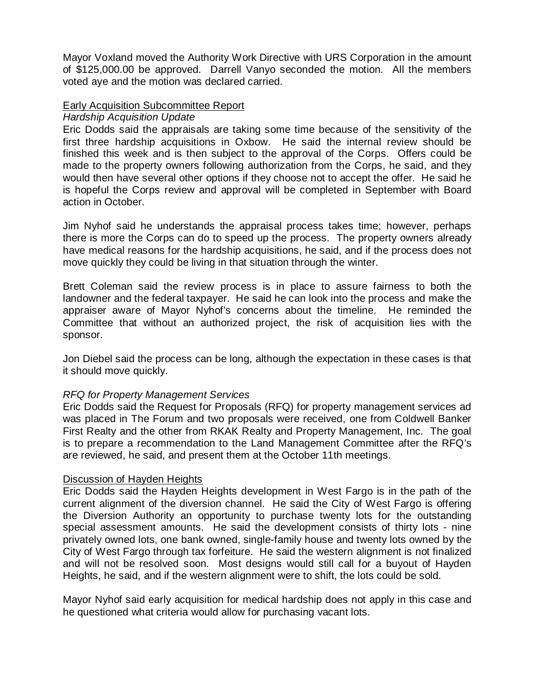Mayor Voxland moved the Authority Work Directive with URS Corporation in the amount of \$125,000.00 be approved. Darrell Vanyo seconded the motion. All the members voted aye and the motion was declared carried.

# Early Acquisition Subcommittee Report

### *Hardship Acquisition Update*

Eric Dodds said the appraisals are taking some time because of the sensitivity of the first three hardship acquisitions in Oxbow. He said the internal review should be finished this week and is then subject to the approval of the Corps. Offers could be made to the property owners following authorization from the Corps, he said, and they would then have several other options if they choose not to accept the offer. He said he is hopeful the Corps review and approval will be completed in September with Board action in October.

Jim Nyhof said he understands the appraisal process takes time; however, perhaps there is more the Corps can do to speed up the process. The property owners already have medical reasons for the hardship acquisitions, he said, and if the process does not move quickly they could be living in that situation through the winter.

Brett Coleman said the review process is in place to assure fairness to both the landowner and the federal taxpayer. He said he can look into the process and make the appraiser aware of Mayor Nyhof's concerns about the timeline. He reminded the Committee that without an authorized project, the risk of acquisition lies with the sponsor.

Jon Diebel said the process can be long, although the expectation in these cases is that it should move quickly.

### *RFQ for Property Management Services*

Eric Dodds said the Request for Proposals (RFQ) for property management services ad was placed in The Forum and two proposals were received, one from Coldwell Banker First Realty and the other from RKAK Realty and Property Management, Inc. The goal is to prepare a recommendation to the Land Management Committee after the RFQ's are reviewed, he said, and present them at the October 11th meetings.

### Discussion of Hayden Heights

Eric Dodds said the Hayden Heights development in West Fargo is in the path of the current alignment of the diversion channel. He said the City of West Fargo is offering the Diversion Authority an opportunity to purchase twenty lots for the outstanding special assessment amounts. He said the development consists of thirty lots - nine privately owned lots, one bank owned, single-family house and twenty lots owned by the City of West Fargo through tax forfeiture. He said the western alignment is not finalized and will not be resolved soon. Most designs would still call for a buyout of Hayden Heights, he said, and if the western alignment were to shift, the lots could be sold.

Mayor Nyhof said early acquisition for medical hardship does not apply in this case and he questioned what criteria would allow for purchasing vacant lots.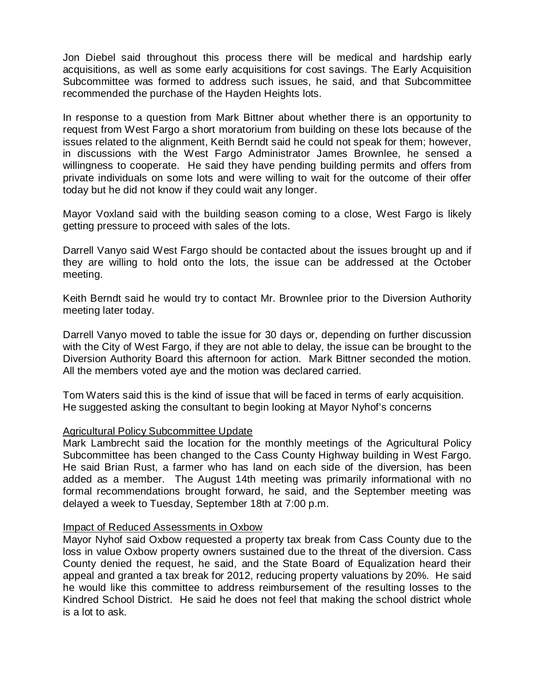Jon Diebel said throughout this process there will be medical and hardship early acquisitions, as well as some early acquisitions for cost savings. The Early Acquisition Subcommittee was formed to address such issues, he said, and that Subcommittee recommended the purchase of the Hayden Heights lots.

In response to a question from Mark Bittner about whether there is an opportunity to request from West Fargo a short moratorium from building on these lots because of the issues related to the alignment, Keith Berndt said he could not speak for them; however, in discussions with the West Fargo Administrator James Brownlee, he sensed a willingness to cooperate. He said they have pending building permits and offers from private individuals on some lots and were willing to wait for the outcome of their offer today but he did not know if they could wait any longer.

Mayor Voxland said with the building season coming to a close, West Fargo is likely getting pressure to proceed with sales of the lots.

Darrell Vanyo said West Fargo should be contacted about the issues brought up and if they are willing to hold onto the lots, the issue can be addressed at the October meeting.

Keith Berndt said he would try to contact Mr. Brownlee prior to the Diversion Authority meeting later today.

Darrell Vanyo moved to table the issue for 30 days or, depending on further discussion with the City of West Fargo, if they are not able to delay, the issue can be brought to the Diversion Authority Board this afternoon for action. Mark Bittner seconded the motion. All the members voted aye and the motion was declared carried.

Tom Waters said this is the kind of issue that will be faced in terms of early acquisition. He suggested asking the consultant to begin looking at Mayor Nyhof's concerns

### Agricultural Policy Subcommittee Update

Mark Lambrecht said the location for the monthly meetings of the Agricultural Policy Subcommittee has been changed to the Cass County Highway building in West Fargo. He said Brian Rust, a farmer who has land on each side of the diversion, has been added as a member. The August 14th meeting was primarily informational with no formal recommendations brought forward, he said, and the September meeting was delayed a week to Tuesday, September 18th at 7:00 p.m.

### Impact of Reduced Assessments in Oxbow

Mayor Nyhof said Oxbow requested a property tax break from Cass County due to the loss in value Oxbow property owners sustained due to the threat of the diversion. Cass County denied the request, he said, and the State Board of Equalization heard their appeal and granted a tax break for 2012, reducing property valuations by 20%. He said he would like this committee to address reimbursement of the resulting losses to the Kindred School District. He said he does not feel that making the school district whole is a lot to ask.